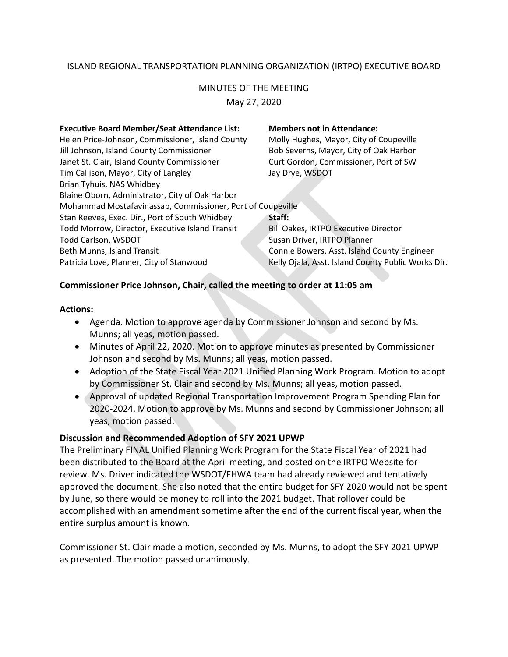# ISLAND REGIONAL TRANSPORTATION PLANNING ORGANIZATION (IRTPO) EXECUTIVE BOARD

# MINUTES OF THE MEETING

May 27, 2020

#### **Executive Board Member/Seat Attendance List: Members not in Attendance:**

Helen Price-Johnson, Commissioner, Island County Molly Hughes, Mayor, City of Coupeville Jill Johnson, Island County Commissioner Bob Severns, Mayor, City of Oak Harbor Janet St. Clair, Island County Commissioner Curt Gordon, Commissioner, Port of SW Tim Callison, Mayor, City of Langley Jay Drye, WSDOT Brian Tyhuis, NAS Whidbey Blaine Oborn, Administrator, City of Oak Harbor Mohammad Mostafavinassab, Commissioner, Port of Coupeville Stan Reeves, Exec. Dir., Port of South Whidbey **Staff:** Todd Morrow, Director, Executive Island Transit Bill Oakes, IRTPO Executive Director Todd Carlson, WSDOT Susan Driver, IRTPO Planner Beth Munns, Island Transit Connie Bowers, Asst. Island County Engineer

# Patricia Love, Planner, City of Stanwood Kelly Ojala, Asst. Island County Public Works Dir.

## **Commissioner Price Johnson, Chair, called the meeting to order at 11:05 am**

#### **Actions:**

- Agenda. Motion to approve agenda by Commissioner Johnson and second by Ms. Munns; all yeas, motion passed.
- Minutes of April 22, 2020. Motion to approve minutes as presented by Commissioner Johnson and second by Ms. Munns; all yeas, motion passed.
- Adoption of the State Fiscal Year 2021 Unified Planning Work Program. Motion to adopt by Commissioner St. Clair and second by Ms. Munns; all yeas, motion passed.
- Approval of updated Regional Transportation Improvement Program Spending Plan for 2020-2024. Motion to approve by Ms. Munns and second by Commissioner Johnson; all yeas, motion passed.

# **Discussion and Recommended Adoption of SFY 2021 UPWP**

The Preliminary FINAL Unified Planning Work Program for the State Fiscal Year of 2021 had been distributed to the Board at the April meeting, and posted on the IRTPO Website for review. Ms. Driver indicated the WSDOT/FHWA team had already reviewed and tentatively approved the document. She also noted that the entire budget for SFY 2020 would not be spent by June, so there would be money to roll into the 2021 budget. That rollover could be accomplished with an amendment sometime after the end of the current fiscal year, when the entire surplus amount is known.

Commissioner St. Clair made a motion, seconded by Ms. Munns, to adopt the SFY 2021 UPWP as presented. The motion passed unanimously.